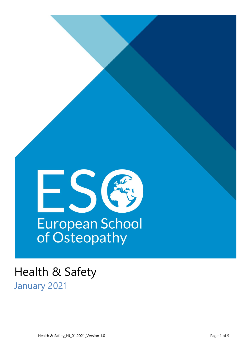

# Health & Safety January 2021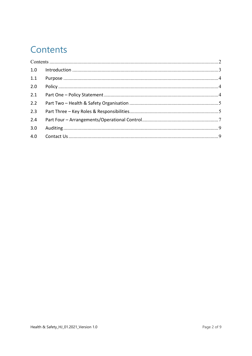## <span id="page-1-0"></span>Contents

| 1.0 |  |  |
|-----|--|--|
| 1.1 |  |  |
| 2.0 |  |  |
| 2.1 |  |  |
| 2.2 |  |  |
| 2.3 |  |  |
| 2.4 |  |  |
| 3.0 |  |  |
| 4.0 |  |  |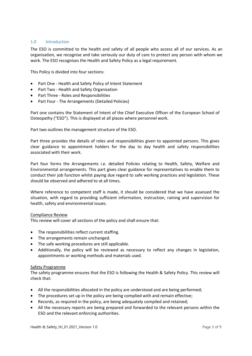#### <span id="page-2-0"></span>1.0 Introduction

The ESO is committed to the health and safety of all people who access all of our services. As an organisation, we recognise and take seriously our duty of care to protect any person with whom we work. The ESO recognises the Health and Safety Policy as a legal requirement.

This Policy is divided into four sections:

- Part One Health and Safety Policy of Intent Statement
- Part Two Health and Safety Organisation
- Part Three Roles and Responsibilities
- Part Four The Arrangements (Detailed Policies)

Part one contains the Statement of Intent of the Chief Executive Officer of the European School of Osteopathy ("ESO"). This is displayed at all places where personnel work.

Part two outlines the management structure of the ESO.

Part three provides the details of roles and responsibilities given to appointed persons. This gives clear guidance to appointment holders for the day to day health and safety responsibilities associated with their work.

Part four forms the Arrangements i.e. detailed Policies relating to Health, Safety, Welfare and Environmental arrangements. This part gives clear guidance for representatives to enable them to conduct their job function whilst paying due regard to safe working practices and legislation. These should be observed and adhered to at all times.

Where reference to competent staff is made, it should be considered that we have assessed the situation, with regard to providing sufficient information, instruction, raining and supervision for health, safety and environmental issues.

#### Compliance Review

This review will cover all sections of the policy and shall ensure that:

- The responsibilities reflect current staffing.
- The arrangements remain unchanged.
- The safe working procedures are still applicable.
- Additionally, the policy will be reviewed as necessary to reflect any changes in legislation, appointments or working methods and materials used.

#### Safety Programme

The safety programme ensures that the ESO is following the Health & Safety Policy. This review will check that:

- All the responsibilities allocated in the policy are understood and are being performed;
- The procedures set up in the policy are being complied with and remain effective;
- Records, as required in the policy, are being adequately compiled and retained;
- All the necessary reports are being prepared and forwarded to the relevant persons within the ESO and the relevant enforcing authorities.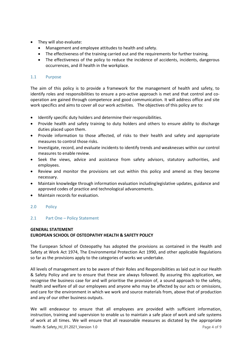- They will also evaluate:
	- Management and employee attitudes to health and safety.
	- The effectiveness of the training carried out and the requirements for further training.
	- The effectiveness of the policy to reduce the incidence of accidents, incidents, dangerous occurrences, and ill health in the workplace.

#### <span id="page-3-0"></span>1.1 Purpose

The aim of this policy is to provide a framework for the management of health and safety, to identify roles and responsibilities to ensure a pro-active approach is met and that control and cooperation are gained through competence and good communication. It will address office and site work specifics and aims to cover all our work activities. The objectives of this policy are to:

- Identify specific duty holders and determine their responsibilities.
- Provide health and safety training to duty holders and others to ensure ability to discharge duties placed upon them.
- Provide information to those affected, of risks to their health and safety and appropriate measures to control those risks.
- Investigate, record, and evaluate incidents to identify trends and weaknesses within our control measures to enable review.
- Seek the views, advice and assistance from safety advisors, statutory authorities, and employees.
- Review and monitor the provisions set out within this policy and amend as they become necessary.
- Maintain knowledge through information evaluation includinglegislative updates, guidance and approved codes of practice and technological advancements.
- Maintain records for evaluation.

#### <span id="page-3-1"></span>2.0 Policy

#### <span id="page-3-2"></span>2.1 Part One – Policy Statement

#### **GENERAL STATEMENT EUROPEAN SCHOOL OF OSTEOPATHY HEALTH & SAFETY POLICY**

The European School of Osteopathy has adopted the provisions as contained in the Health and Safety at Work Act 1974, The Environmental Protection Act 1990, and other applicable Regulations so far as the provisions apply to the categories of works we undertake.

All levels of management are to be aware of their Roles and Responsibilities as laid out in our Health & Safety Policy and are to ensure that these are always followed. By assuring this application, we recognise the business case for and will prioritise the provision of, a sound approach to the safety, health and welfare of all our employees and anyone who may be affected by our acts or omissions, and care for the environment in which we work and source materials from, above that of production and any of our other business outputs.

Health & Safety\_HJ\_01.2021\_Version 1.0 **Page 4 of 9** Page 4 of 9 We will endeavour to ensure that all employees are provided with sufficient information, instruction, training and supervision to enable us to maintain a safe place of work and safe systems of work at all times. We will ensure that all reasonable measures as dictated by the appropriate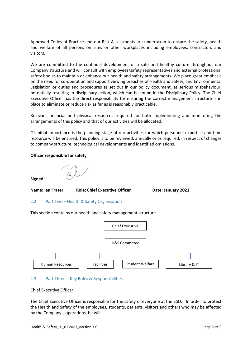Approved Codes of Practice and our Risk Assessments are undertaken to ensure the safety, health and welfare of all persons on sites or other workplaces including employees, contractors and visitors.

We are committed to the continual development of a safe and healthy culture throughout our Company structure and will consult with employees/safety representatives and external professional safety bodies to maintain or enhance our health and safety arrangements. We place great emphasis on the need for co-operation and support viewing breaches of Health and Safety, and Environmental Legislation or duties and procedures as set out in our policy document, as serious misbehaviour, potentially resulting in disciplinary action, which can be found in the Disciplinary Policy. The Chief Executive Officer has the direct responsibility for ensuring the correct management structure is in place to eliminate or reduce risk as far as is reasonably practicable.

Relevant financial and physical resources required for both implementing and monitoring the arrangements of this policy and that of our activities will be allocated.

Of initial importance is the planning stage of our activities for which personnel expertise and time resource will be ensured. This policy is to be reviewed, annually or as required, in respect of changes to company structure, technological developments and identified omissions.

#### **Officer responsible for safety**

## **Signed:**

#### **Name: Ian Fraser Role: Chief Executive Officer Date: January 2021**

#### <span id="page-4-0"></span>2.2 Part Two – Health & Safety Organisation

This section contains our health and safety management structure.



#### <span id="page-4-1"></span>2.3 Part Three – Key Roles & Responsibilities

#### Chief Executive Officer

The Chief Executive Officer is responsible for the safety of everyone at the ESO. In order to protect the Health and Safety of the employees, students, patients, visitors and others who may be affected by the Company's operations, he will: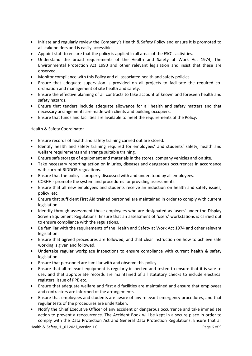- Initiate and regularly review the Company's Health & Safety Policy and ensure it is promoted to all stakeholders and is easily accessible.
- Appoint staff to ensure that the policy is applied in all areas of the ESO's activities.
- Understand the broad requirements of the Health and Safety at Work Act 1974, The Environmental Protection Act 1990 and other relevant legislation and insist that these are observed.
- Monitor compliance with this Policy and all associated health and safety policies.
- Ensure that adequate supervision is provided on all projects to facilitate the required coordination and management of site health and safety.
- Ensure the effective planning of all contracts to take account of known and foreseen health and safety hazards.
- Ensure that tenders include adequate allowance for all health and safety matters and that necessary arrangements are made with clients and building occupiers.
- Ensure that funds and facilities are available to meet the requirements of the Policy.

#### Health & Safety Coordinator

- Ensure records of health and safety training carried out are stored.
- Identify health and safety training required for employees' and students' safety, health and welfare requirements and arrange suitable training.
- Ensure safe storage of equipment and materials in the stores, company vehicles and on site.
- Take necessary reporting action on injuries, diseases and dangerous occurrences in accordance with current RIDDOR regulations.
- Ensure that the policy is properly discussed with and understood by all employees.
- COSHH promote the system and procedures for providing assessments.
- Ensure that all new employees and students receive an induction on health and safety issues, policy, etc.
- Ensure that sufficient First Aid trained personnel are maintained in order to comply with current legislation.
- Identify through assessment those employees who are designated as 'users' under the Display Screen Equipment Regulations. Ensure that an assessment of 'users' workstations is carried out to ensure compliance with the regulations.
- Be familiar with the requirements of the Health and Safety at Work Act 1974 and other relevant legislation.
- Ensure that agreed procedures are followed, and that clear instruction on how to achieve safe working is given and followed.
- Undertake regular workplace inspections to ensure compliance with current health & safety legislation.
- Ensure that personnel are familiar with and observe this policy.
- Ensure that all relevant equipment is regularly inspected and tested to ensure that it is safe to use; and that appropriate records are maintained of all statutory checks to include electrical registers, issue of PPE etc.
- Ensure that adequate welfare and first aid facilities are maintained and ensure that employees and contractors are informed of the arrangements.
- Ensure that employees and students are aware of any relevant emergency procedures, and that regular tests of the procedures are undertaken.
- Notify the Chief Executive Officer of any accident or dangerous occurrence and take immediate action to prevent a reoccurrence. The Accident Book will be kept in a secure place in order to comply with the Data Protection Act and General Data Protection Regulations. Ensure that all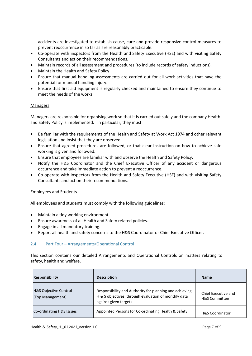accidents are investigated to establish cause, cure and provide responsive control measures to prevent reoccurrence in so far as are reasonably practicable.

- Co-operate with inspectors from the Health and Safety Executive (HSE) and with visiting Safety Consultants and act on their recommendations.
- Maintain records of all assessment and procedures (to include records of safety inductions).
- Maintain the Health and Safety Policy.
- Ensure that manual handling assessments are carried out for all work activities that have the potential for manual handling injury.
- Ensure that first aid equipment is regularly checked and maintained to ensure they continue to meet the needs of the works.

#### Managers

Managers are responsible for organising work so that it is carried out safely and the company Health and Safety Policy is implemented. In particular, they must:

- Be familiar with the requirements of the Health and Safety at Work Act 1974 and other relevant legislation and insist that they are observed.
- Ensure that agreed procedures are followed, or that clear instruction on how to achieve safe working is given and followed.
- Ensure that employees are familiar with and observe the Health and Safety Policy.
- Notify the H&S Coordinator and the Chief Executive Officer of any accident or dangerous occurrence and take immediate action to prevent a reoccurrence.
- Co-operate with Inspectors from the Health and Safety Executive (HSE) and with visiting Safety Consultants and act on their recommendations.

#### Employees and Students

All employees and students must comply with the following guidelines:

- Maintain a tidy working environment.
- Ensure awareness of all Health and Safety related policies.
- Engage in all mandatory training.
- Report all health and safety concerns to the H&S Coordinator or Chief Executive Officer.

#### <span id="page-6-0"></span>2.4 Part Four – Arrangements/Operational Control

This section contains our detailed Arrangements and Operational Controls on matters relating to safety, health and welfare.

|  | <b>Responsibility</b>                                | <b>Description</b>                                                                                                                       | <b>Name</b>                                     |
|--|------------------------------------------------------|------------------------------------------------------------------------------------------------------------------------------------------|-------------------------------------------------|
|  | <b>H&amp;S Objective Control</b><br>(Top Management) | Responsibility and Authority for planning and achieving<br>H & S objectives, through evaluation of monthly data<br>against given targets | Chief Executive and<br><b>H&amp;S Committee</b> |
|  | Co-ordinating H&S Issues                             | Appointed Persons for Co-ordinating Health & Safety                                                                                      | <b>H&amp;S Coordinator</b>                      |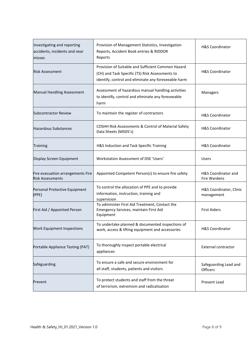| Investigating and reporting<br>accidents, incidents and near<br>misses | Provision of Management Statistics, Investigation<br>Reports, Accident Book entries & RIDDOR<br>Reports                                                       | <b>H&amp;S Coordinator</b>               |
|------------------------------------------------------------------------|---------------------------------------------------------------------------------------------------------------------------------------------------------------|------------------------------------------|
| lRisk Assessment                                                       | Provision of Suitable and Sufficient Common Hazard<br>(CH) and Task Specific (TS) Risk Assessments to<br>identify, control and eliminate any foreseeable harm | <b>H&amp;S Coordinator</b>               |
| <b>Manual Handling Assessment</b>                                      | Assessment of hazardous manual handling activities<br>to identify, control and eliminate any foreseeable<br>harm                                              | Managers                                 |
| <b>Subcontractor Review</b>                                            | To maintain the register of contractors                                                                                                                       | <b>H&amp;S Coordinator</b>               |
| <b>Hazardous Substances</b>                                            | COSHH Risk Assessments & Control of Material Safety<br>Data Sheets (MSDS's)                                                                                   | <b>H&amp;S Coordinator</b>               |
| <b>Training</b>                                                        | H&S Induction and Task Specific Training                                                                                                                      | <b>H&amp;S Coordinator</b>               |
| Display Screen Equipment                                               | Workstation Assessment of DSE 'Users'                                                                                                                         | <b>Users</b>                             |
| Fire evacuation arrangements Fire<br><b>Risk Assessments</b>           | Appointed Competent Person(s) to ensure fire safety                                                                                                           | H&S Coordinator and<br>Fire Wardens      |
| Personal Protective Equipment<br>(PPE)                                 | To control the allocation of PPE and to provide<br>information, instruction, training and<br>supervision                                                      | H&S Coordinator, Clinic<br>management    |
| First Aid / Appointed Person                                           | To administer First Aid Treatment, Contact the<br>Emergency Services, maintain First Aid<br>Equipment                                                         | <b>First Aiders</b>                      |
| Work Equipment Inspections                                             | To undertake planned & documented inspections of<br>work, access & lifting equipment and accessories                                                          | H&S Coordinator                          |
| Portable Appliance Testing (PAT)                                       | To thoroughly inspect portable electrical<br>appliances                                                                                                       | External contractor                      |
| Safeguarding                                                           | To ensure a safe and secure environment for<br>all staff, students, patients and visitors                                                                     | Safeguarding Lead and<br><b>Officers</b> |
| Prevent                                                                | To protect students and staff from the threat<br>of terrorism, extremism and radicalisation                                                                   | Prevent Lead                             |